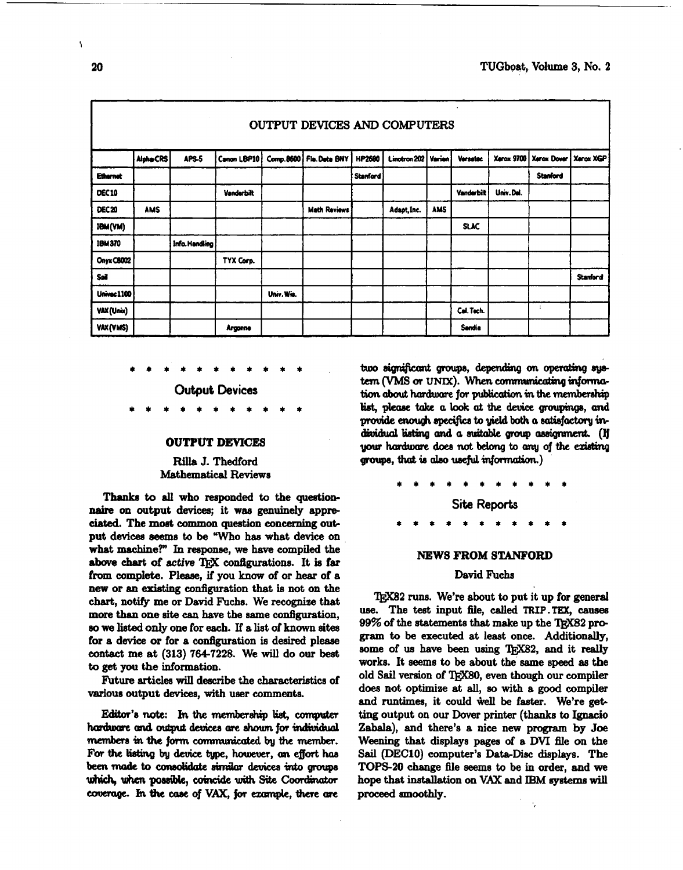| OUTPUT DEVICES AND COMPUTERS |                  |                |                |            |                     |          |              |               |                   |                   |                 |                 |
|------------------------------|------------------|----------------|----------------|------------|---------------------|----------|--------------|---------------|-------------------|-------------------|-----------------|-----------------|
|                              | <b>Alpha CRS</b> | APS-5          | Canon LBP10    | Comp.8600  | Fla.Deta BNY        | HP2600   | Linotron 202 | <b>Varian</b> | <b>Versatec</b>   | <b>Xerox 9700</b> | Xerox Dover     | Xerox XGP       |
| <b>Ethernet</b>              |                  |                |                |            |                     | Stanford |              |               |                   |                   | <b>Stanford</b> |                 |
| DEC10                        |                  |                | Vanderbilt     |            |                     |          |              |               | <b>Vanderbilt</b> | Univ.Del.         |                 |                 |
| <b>DEC 20</b>                | <b>AMS</b>       |                |                |            | <b>Math Reviews</b> |          | Adapt, Inc.  | <b>AMS</b>    |                   |                   |                 |                 |
| IBM(VM)                      |                  |                |                |            |                     |          |              |               | <b>SLAC</b>       |                   |                 |                 |
| <b>IBM370</b>                |                  | Info. Handling |                |            |                     |          |              |               |                   |                   |                 |                 |
| Onyx C8002                   |                  |                | TYX Corp.      |            |                     |          |              |               |                   |                   |                 |                 |
| Seil                         |                  |                |                |            |                     |          |              |               |                   |                   |                 | <b>Stanford</b> |
| <b>Univec 1100</b>           |                  |                |                | Univ. Wis. |                     |          |              |               |                   |                   |                 |                 |
| VAX (Unix)                   |                  |                |                |            |                     |          |              |               | Cal. Tech.        |                   | ÷               |                 |
| VAX(VMS)                     |                  |                | <b>Argonne</b> |            |                     |          |              |               | Sandia            |                   |                 |                 |

**Output Devices** 

## **OUTPUT DEVICES**

# **Rilla J.** Thedford Mathematical Reviews

**Thanks to all** who responded to the questionnaire **on** output devices; it **wee** genuinely appre**ciated.** The **most** common question concerning output devices seems to be "Who has what device on what **machine?"** In response, we **have** compiled the above chart of active T<sub>EX</sub> configurations. It is far from complete. **Please,** if you know of or hear of a new or **an existing** configuration that is not on the chart, notify me or David Fuchs. We recognize that **more than** one site **can** have the same configuration, **so we** listed only one for each. If a list of **known** sites for a device or for a configuration is desired please contact me at (313) 764-7228. We will do our beat to **get** you the information.

Future articles **will** deacribe the characteristics of various output devices, with user comments.

Editor's note: In the membership list, computer hardware and output devices are shown for individual members in the form communicated by the member. For the listing by device type, however, an effort has been made to consolidate similar devices into groups which, when possible, coincide with Site Coordinator coverage. In the case of VAX, for example, there are two significant groups, depending on operating system (VMS or UNIX). When communicating information about hardware for publication in the membership list, please take a look at the device groupings, and provide enough specifics to yield both a satisfactory individual listing and a suitable group assignment. (If your hardware does not belong to any of the existing groups, that is also useful information.)

> **Site Reports**   $\bullet$

#### **NEWS FROM STANFORD**

## David **Fuchs**

TEX82 runs. We're about to put it up for general **use.** The **teet** input file, **called TRIP.TEX, causea**  99% of the statements that make up the TRX82 pro**gram fo** be executed at least once. Additionally, some of us have been using TEX82, and it really works. It seems to be about the same speed as the old **Sail** version of QjX80, even though our compiler does not optirniae at all, **so** with a **good** compiler and runtimes, it could well be faster. We're getting output on our Dover printer (thanks to **Ignacio Zabala),** and there's a nice new program by Joe Weening that displays pages of a DVI file on the **Sail** (DEC10) computer's Data-Disc **displays. The**  TOPS20 change file seems to be in order, and **we**  hope that installation on **VAX** and **IBM gystem** will proceed smoothly.

 $\ddot{\phantom{a}}$ 

 $\overline{\phantom{a}}$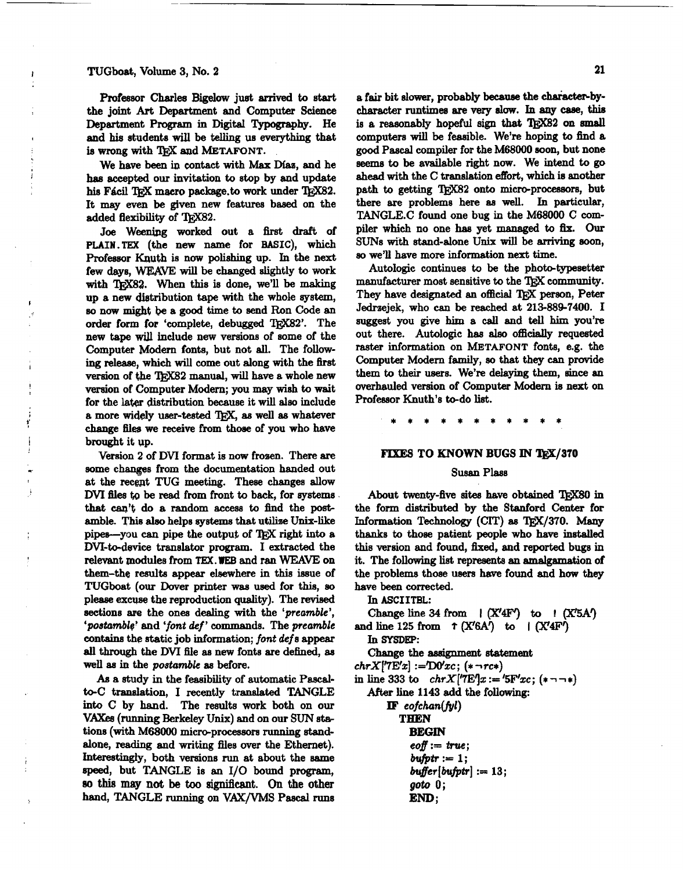# TUGboat, Volume 3, No. <sup>2</sup>

 $\frac{1}{2}$ 

Professor Charles **Bigelow juet arrived** to **start**  the joint Art Department and Computer Science Department **Program** in Digital **Typography.** He and his students **will** be telling us everything that is wrong with  $T_FX$  and **METAFONT**.

We have been in contact with Max Díaz, and he **haa** accepted our invitation to stop by and update his Fácil TEX macro package.to work under TEX82. It may even be given new featurea based on the added flexibility of **'QjX82.** 

Joe **Weenipg** worked out a first draft of PLAIW.TEX (the new name for BASIC), which Professor **Knuth** is now polishing up. In the next few days, WEAVE will be changed slightly to work with **TRX82**. When this is done, we'll be making up a new distribution tape with the whole *system,*  **so** now might **be** a good time to send Ron Code an order form for 'complete, debugged TRX82'. The new tape wiJl include new versions of some of the Computer Modern fonts, but not **all.** The follow**ing** release, which will come out along with the first version of **the 'IjjX82** manual, wiU have a whole new version of Computer Modern; you may **wish** to wait for the **latar** distribution because it will **also** include a more widely user-tested **as** well **as** whatever change files we receive from those of you who have brought it up.

Version 2 of DVI format is now frozen. There are some changes from the documentation handed out at the recent TUG meeting. These changes allow DVI files to be read from front to back, for systems that **can't** do a random access to dind the postamble. Thia also helps systema that utilize **Unix-like**  pipea-you **can** pipe the output of l\$jX right **into** a DVI-to-device translator program. I extracted the relevant module8 from **TEX. WEB** and ran **WEAVE** on them-the results appear elsewhere in this issue of TUGboat (our Dover printer was used for this, so pleaae excuse the reproduction quality). The revised sections **are** the ones dealing with the 'preamble', 'postamble' and 'font def' commands. The preamble **contains** the static job information; font def s appear **all** through the DVI file **ae** new fonts are defined, **as**  well as in the *postamble* as before.

As a study in the feaeibility of automatic Pascalto-C translation, I recently translated TANGLE **into** C by hand. The results work both on our V. **(running** Berkeley **Unix)** and on our **SUN** sb tions (with M68000 micro-processors running standalone, **reading** and writing files **over** the Ethernet). Interestingly, both versions **run** at about the same speed, but TANGLE is an I/O bound program, **SO thie** *may* **not be too significant. On** the other hand, TANGLE **running** on VAX/VMS Pascal runs a fair bit slower, probably because the character-bycharacter runtimes are very slow. In any case, this is a reasonably hopeful sign that TEX82 on small computers will be feasible. We're hoping to find a good **Pascal** compiler for the **M68000** soon, but none **seeme** to be available right now. We intend to **go**  ahead with the C translation effort, which is another path to getting TFX82 onto micro-processors, but there are problems here **aa** well. In particular, TANGLEC found one bug in the **M68000** C **com**piler **which** no one **haa** yet managed to fix. **Our**  SUNS with stand-alone **Unix** will be **arriving** soon, **so we'll** have more information next time.

Autologic continues to be the photo-typesetter manufacturer most sensitive to the TEX community. Autologic continues to be the photo-typesetter<br>manufacturer most sensitive to the T<sub>E</sub>X community.<br>They have designated an official T<sub>E</sub>X person, Peter<br>Jedrasiek, who can be reached at 213-889-7400. I Jedmejek, who **can** be reached at **213-889-7400.** I suggest you give **him** a call and tell him you're out there. Autologic **has also** officially requested raster information on **METAFONT** fonts, e.g. the Computer Modern family, so that they can provide them to their users. We're delaying them, **since** an overhauled version of Computer Modern is next on Professor Knuth's to-do list.

### **FIXES TO KNOWN BUGS IN TEX/370**

## **Susan Plass**

About twenty-five sites have obtained **TFX80** in the form distributed by the Stanford **Center** for Information Technology (CIT) as TFX/370. Many thanks to those patient people who have installed this version and found, **ked,** and reported bugs in it. The following **list** represents an amalgamation of the problems those users have found and how they have been corrected.

In ASCIITBL: Change line 34 from  $\mathcal{X}'$ **4F'**) to  $\mathcal{Y}'$  (X'5A') and line 125 from  $\tau$  (X'6A') to  $\Gamma$  (X'4F')<br>
In SYSDEP: In SYSDEP:<br>Change the assignment statement  $chrX[{}'7E'x] := D0'xc;$  (\*  $\neg rc*)$ in line 333 to  $chrX[7E]x := '5F'xc; (* \neg \neg *)$ After line **1143** add the following:  $$ **THEN BEGIN**   $e$ *off* := *true*;  $buffer := 1$ ;  $buffer[buffer] := 13;$ **got0 0; END** ;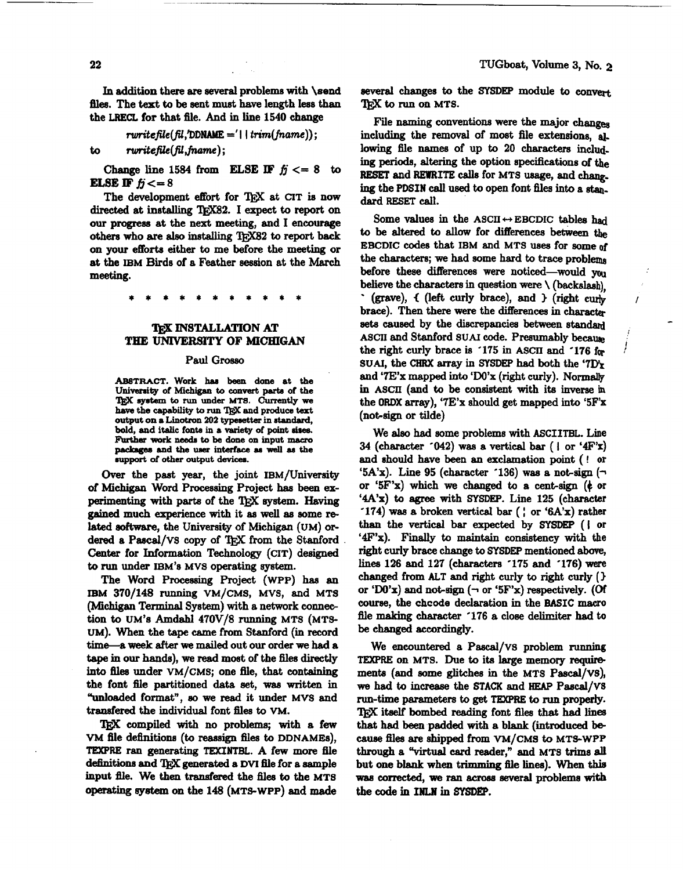In addition there are **several** problems with **\send files.** The **text** to be sent muet **have** length less than the **LRECL** for that file. And in line 1540 **change** 

$$
rwritefile(fil, 'DDNAME = 1 | trim(fname));
$$

to ruritefile(fil,fname);

**Change line 1584 from <b>ELSE IF**  $f_j \leq 8$  to **ELSE IF**  $fi < = 8$ 

The development effort for QjX at **CIT is** now directed at installing TEX82. I expect to report on our progress at the next meeting, and I encourage others who are also installing T<sub>R</sub>X82 to report back on **your** efforts either to me before the meeting or at the IBM Birds of a **Feather** eeeeion at the **March**  meeting.

# **IEX INSTALLATION AT THE** UNIVERSITY **OF MICHIGAN**

#### Paul Grosso

ABSTRACT. Work has been done at the University of Michigan to convert parts of the **TRX** system to run under MTS. Currently we **hsve the capability to** run **and produco** teat **output on a Linotron 202 typesetter in atandard,**  bold, **and italic** fonta **in a variety of point dree. Further work** needs **to be done on input** macro packages and the user interface as well as the  $i$  **support** of other output devices.

Over the past year, the joint IBM/University of Michigan Word Processing Project **has** been experimenting with parts of the 'QjX **system. Having gained** much experience with it **aa** well as some related **eoftware,** the University of Michigan (UM) ordered a Pascal/VS copy of TFX from the Stanford **Center** for Information Technology (CIT) designed to run under IBM'S MVS operating **system.** 

The Word Processing Project **(WPP)** has an IBM  $370/148$  running VM/CMS, MVS, and MTS **(Michigan Terminal System) with a network connec**tion to UM's Amdahl 470V/8 running MTS (MTS-UM). When the tape came from Stanford (in record time-a **week** after we mailed out our order we had a **tape** in our hands), we read most of the files directly into files under VM/CMS; one file, that containing the font file partitioned data set, **waa** written in "unloaded format", so we read it under MVS and transfered the individual font files to VM.

'I@C compiled with no problems; with a **few**  vM file definitions (to reassign files to DDNAMES), **TEXPRE** ran generating **TEXINTBL.** A few more file definitions and T<sub>RX</sub> generated a DVI file for a sample input file. We then transfered the files to the MTS operating **system** on the 148 (MTS-WPP) and made **eeveral changes** to the **SlSDEP** module to con several changes to t<br>TEX to run on MTS.

Fie naming convention8 were the major **changes**  including the removal of most file extensions, **al,**  lowing file names of up to 20 **charactera** including **periods, altering** the option specifications of the RESET and REWRITE calls for MTS usage, **and** *chq*ing the **PDSIN** call used to open font files into a stan. dard RESET **call.** 

Some values in the ASCII  $\leftrightarrow$  EBCDIC tables had to be altered to allow for differences between the EBCDIC codes that IBM and MTS uses for some of the characters; we had some hard to trace problems before these differences were noticed-would **you**  believe the characters in question were \ **(backslash),**  (grave),  $\{$  (left curly brace), and  $\}$  (right curly brace). Then there were the differences in character sets caused by the discrepancies between standard ASCII and Stanford SUAI code. Presumably because the right curly brace is '175 in ASCII and '176 for SUAI, the CHRX array in SYSDEP had both the '7D'x and '7E'x mapped **into** 'DO'x (right curly). Normally in ASCII (and to be coneistent with its inverse in the **OROX array),** '7E'x ahould get mapped into **'5F'x**  (not-sign or tilde)

We **ale0** had some problems with **ASCIITBL.** Line 34 (character '042) **was** a vertical bar ( **l** or **'4F'x)**  and ahould have **been** an exclamation point ( ! or '5A'x). Line 95 (character '136) was a not-sign  $(\neg$ or '5F'x) which we changed **to** a cent-sign (+ or '4A'x) to **agree** with **SYSDEP.** Line 125 (character '174) was a broken vertical bar  $($   $,$  or '6A'x) rather than the vertical bar **expected** by **SYSDEP** ( I or '4F'x). Finally to **maintain** consistency with the right curly brace change to **SYSDEP** mentioned above, lines 126 and 127 (characters '175 and '176) **were**  changed from **ALT** and right curly to right curly **(1**  or 'W'x) and not-eign **(1** or **'5FYx)** respectively. (Of course, the chcode declaration in the BASIC macro file making character '176 a close delimiter had to be changed accordingly.

We encountered a Pascal/VS problem running TEXPRE on MTS. Due to its large memory requiremente (and some glitches in the MTS Pascal/vs), we had to **increase** the STACK and **HEAP** Pascal/VS run-time **parameters** to **get TEXPRE** to **run** properly. iteelf bombed **reading** font files that **had** lines that had been padded with a **blank** (introduced be-**Call88** file8 are **Shipped** from VM/CMS **b** MTS-WPP through a "virtual card reader," and MTS trims **ali**  but one **blank when** trimming file **lines).** When this **wae corrected, we nm acmes several** problema with  $\frac{1}{2}$  the code in **INLN** in SYSDEP.